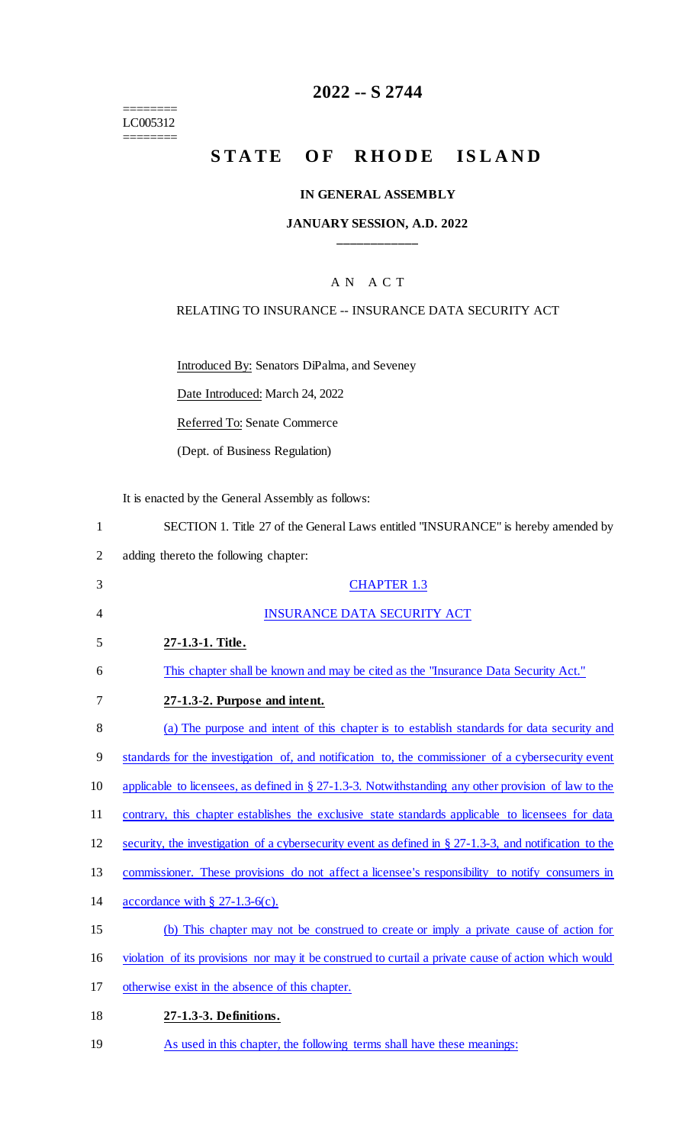======== LC005312 ========

# **2022 -- S 2744**

## **STATE OF RHODE ISLAND**

### **IN GENERAL ASSEMBLY**

#### **JANUARY SESSION, A.D. 2022 \_\_\_\_\_\_\_\_\_\_\_\_**

## A N A C T

#### RELATING TO INSURANCE -- INSURANCE DATA SECURITY ACT

Introduced By: Senators DiPalma, and Seveney

Date Introduced: March 24, 2022

Referred To: Senate Commerce

(Dept. of Business Regulation)

It is enacted by the General Assembly as follows:

| SECTION 1. Title 27 of the General Laws entitled "INSURANCE" is hereby amended by |  |
|-----------------------------------------------------------------------------------|--|
|-----------------------------------------------------------------------------------|--|

2 adding thereto the following chapter:

| 3  | <b>CHAPTER 1.3</b>                                                                                         |
|----|------------------------------------------------------------------------------------------------------------|
| 4  | <b>INSURANCE DATA SECURITY ACT</b>                                                                         |
| 5  | 27-1.3-1. Title.                                                                                           |
| 6  | This chapter shall be known and may be cited as the "Insurance Data Security Act."                         |
| 7  | 27-1.3-2. Purpose and intent.                                                                              |
| 8  | (a) The purpose and intent of this chapter is to establish standards for data security and                 |
| 9  | standards for the investigation of, and notification to, the commissioner of a cybersecurity event         |
| 10 | applicable to licensees, as defined in $\S 27$ -1.3-3. Notwithstanding any other provision of law to the   |
| 11 | contrary, this chapter establishes the exclusive state standards applicable to licensees for data          |
| 12 | security, the investigation of a cybersecurity event as defined in $\S 27-1.3-3$ , and notification to the |
| 13 | commissioner. These provisions do not affect a licensee's responsibility to notify consumers in            |
| 14 | accordance with $\S$ 27-1.3-6(c).                                                                          |
| 15 | (b) This chapter may not be construed to create or imply a private cause of action for                     |
| 16 | violation of its provisions nor may it be construed to curtail a private cause of action which would       |
| 17 | otherwise exist in the absence of this chapter.                                                            |
| 18 | 27-1.3-3. Definitions.                                                                                     |
|    |                                                                                                            |

19 As used in this chapter, the following terms shall have these meanings: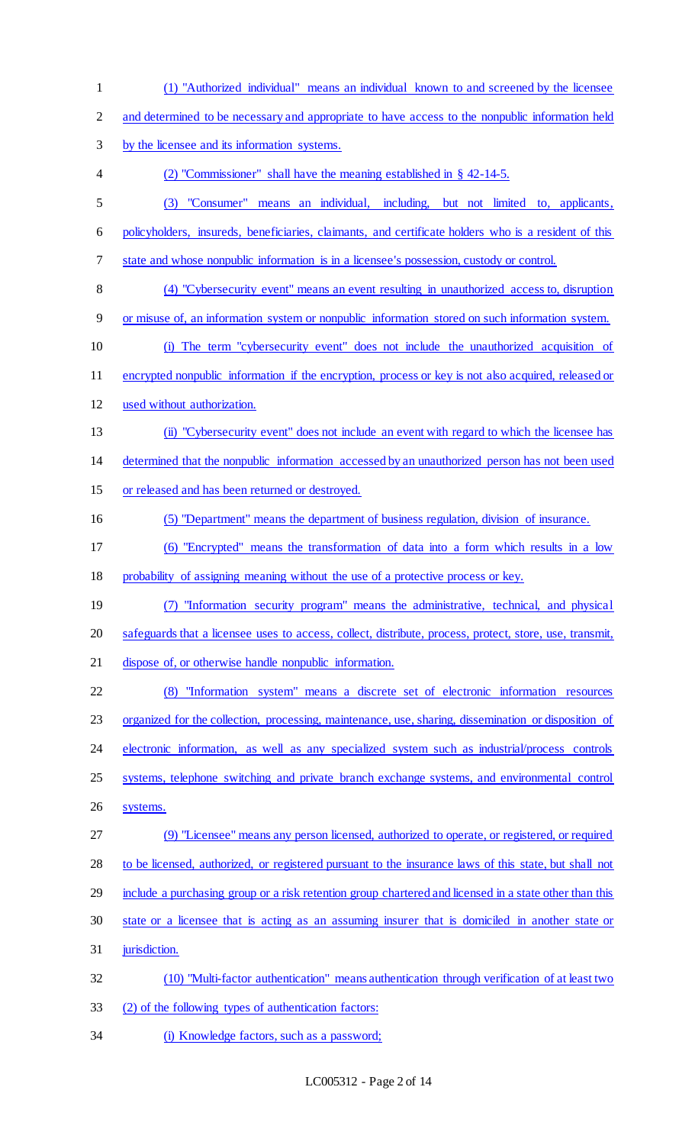(1) "Authorized individual" means an individual known to and screened by the licensee 2 and determined to be necessary and appropriate to have access to the nonpublic information held by the licensee and its information systems. (2) "Commissioner" shall have the meaning established in § 42-14-5. (3) "Consumer" means an individual, including, but not limited to, applicants, policyholders, insureds, beneficiaries, claimants, and certificate holders who is a resident of this state and whose nonpublic information is in a licensee's possession, custody or control. (4) "Cybersecurity event" means an event resulting in unauthorized access to, disruption or misuse of, an information system or nonpublic information stored on such information system. (i) The term "cybersecurity event" does not include the unauthorized acquisition of encrypted nonpublic information if the encryption, process or key is not also acquired, released or used without authorization. (ii) "Cybersecurity event" does not include an event with regard to which the licensee has determined that the nonpublic information accessed by an unauthorized person has not been used or released and has been returned or destroyed. (5) "Department" means the department of business regulation, division of insurance. (6) "Encrypted" means the transformation of data into a form which results in a low probability of assigning meaning without the use of a protective process or key. (7) "Information security program" means the administrative, technical, and physical safeguards that a licensee uses to access, collect, distribute, process, protect, store, use, transmit, dispose of, or otherwise handle nonpublic information. (8) "Information system" means a discrete set of electronic information resources organized for the collection, processing, maintenance, use, sharing, dissemination or disposition of 24 electronic information, as well as any specialized system such as industrial/process controls systems, telephone switching and private branch exchange systems, and environmental control systems. (9) "Licensee" means any person licensed, authorized to operate, or registered, or required 28 to be licensed, authorized, or registered pursuant to the insurance laws of this state, but shall not include a purchasing group or a risk retention group chartered and licensed in a state other than this state or a licensee that is acting as an assuming insurer that is domiciled in another state or 31 jurisdiction. (10) "Multi-factor authentication" means authentication through verification of at least two (2) of the following types of authentication factors: 34 (i) Knowledge factors, such as a password;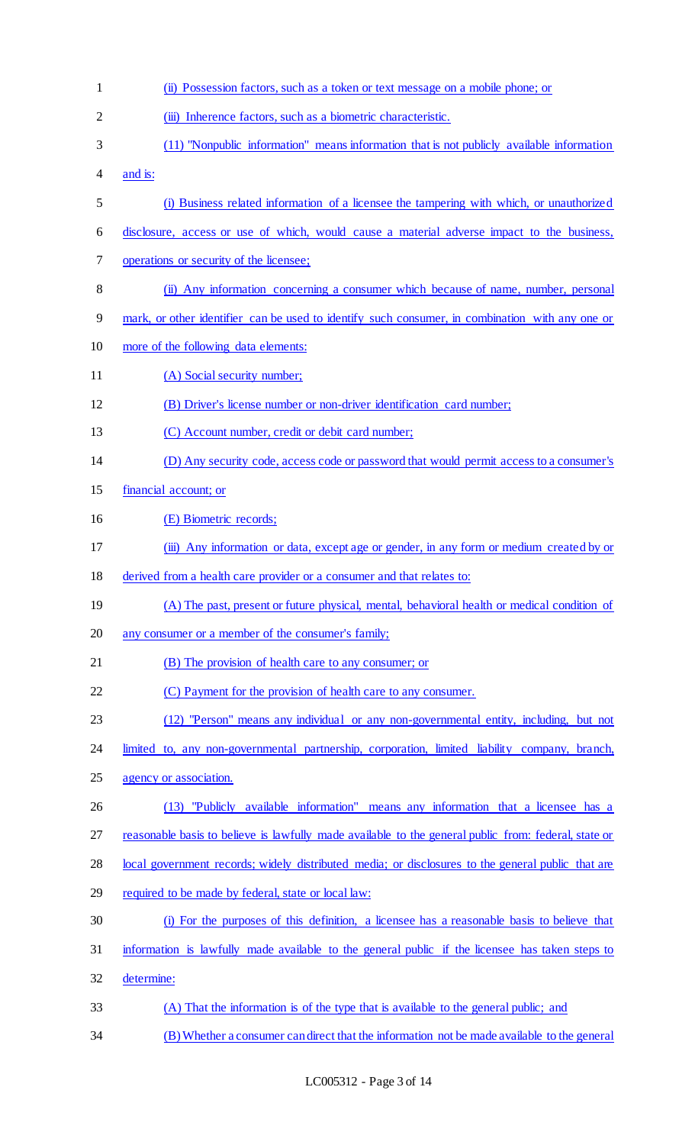| $\mathbf{1}$   | (ii) Possession factors, such as a token or text message on a mobile phone; or                       |
|----------------|------------------------------------------------------------------------------------------------------|
| $\overline{2}$ | (iii) Inherence factors, such as a biometric characteristic.                                         |
| 3              | (11) "Nonpublic information" means information that is not publicly available information            |
| 4              | and is:                                                                                              |
| 5              | (i) Business related information of a licensee the tampering with which, or unauthorized             |
| 6              | disclosure, access or use of which, would cause a material adverse impact to the business,           |
| 7              | operations or security of the licensee;                                                              |
| 8              | (ii) Any information concerning a consumer which because of name, number, personal                   |
| 9              | mark, or other identifier can be used to identify such consumer, in combination with any one or      |
| 10             | more of the following data elements:                                                                 |
| 11             | (A) Social security number;                                                                          |
| 12             | (B) Driver's license number or non-driver identification card number;                                |
| 13             | (C) Account number, credit or debit card number;                                                     |
| 14             | (D) Any security code, access code or password that would permit access to a consumer's              |
| 15             | financial account; or                                                                                |
| 16             | (E) Biometric records;                                                                               |
| 17             | (iii) Any information or data, except age or gender, in any form or medium created by or             |
| 18             | derived from a health care provider or a consumer and that relates to:                               |
| 19             | (A) The past, present or future physical, mental, behavioral health or medical condition of          |
| 20             | any consumer or a member of the consumer's family;                                                   |
| 21             | (B) The provision of health care to any consumer; or                                                 |
| 22             | (C) Payment for the provision of health care to any consumer.                                        |
| 23             | (12) "Person" means any individual or any non-governmental entity, including, but not                |
| 24             | limited to, any non-governmental partnership, corporation, limited liability company, branch,        |
| 25             | agency or association.                                                                               |
| 26             | (13) "Publicly available information" means any information that a licensee has a                    |
| 27             | reasonable basis to believe is lawfully made available to the general public from: federal, state or |
| 28             | local government records; widely distributed media; or disclosures to the general public that are    |
| 29             | required to be made by federal, state or local law:                                                  |
| 30             | (i) For the purposes of this definition, a licensee has a reasonable basis to believe that           |
| 31             | information is lawfully made available to the general public if the licensee has taken steps to      |
| 32             | determine:                                                                                           |
| 33             | (A) That the information is of the type that is available to the general public; and                 |
| 34             | (B) Whether a consumer can direct that the information not be made available to the general          |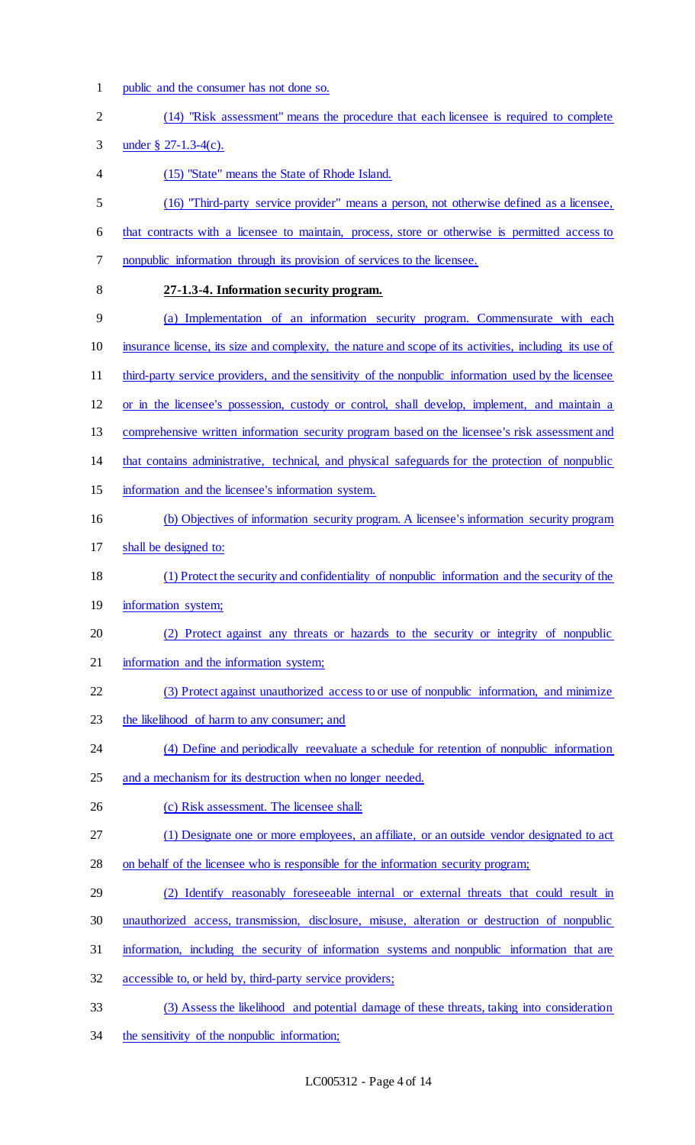1 public and the consumer has not done so.

| $\overline{2}$ | (14) "Risk assessment" means the procedure that each licensee is required to complete                    |
|----------------|----------------------------------------------------------------------------------------------------------|
| 3              | under § 27-1.3-4(c).                                                                                     |
| 4              | (15) "State" means the State of Rhode Island.                                                            |
| 5              | (16) "Third-party service provider" means a person, not otherwise defined as a licensee,                 |
| 6              | that contracts with a licensee to maintain, process, store or otherwise is permitted access to           |
| 7              | nonpublic information through its provision of services to the licensee.                                 |
| 8              | 27-1.3-4. Information security program.                                                                  |
| 9              | (a) Implementation of an information security program. Commensurate with each                            |
| 10             | insurance license, its size and complexity, the nature and scope of its activities, including its use of |
| 11             | third-party service providers, and the sensitivity of the nonpublic information used by the licensee     |
| 12             | or in the licensee's possession, custody or control, shall develop, implement, and maintain a            |
| 13             | comprehensive written information security program based on the licensee's risk assessment and           |
| 14             | that contains administrative, technical, and physical safeguards for the protection of nonpublic         |
| 15             | information and the licensee's information system.                                                       |
| 16             | (b) Objectives of information security program. A licensee's information security program                |
| 17             | shall be designed to:                                                                                    |
| 18             | (1) Protect the security and confidentiality of nonpublic information and the security of the            |
| 19             | information system;                                                                                      |
| 20             | (2) Protect against any threats or hazards to the security or integrity of nonpublic                     |
| 21             | information and the information system;                                                                  |
| 22             | (3) Protect against unauthorized access to or use of nonpublic information, and minimize                 |
| 23             | the likelihood of harm to any consumer; and                                                              |
| 24             | (4) Define and periodically reevaluate a schedule for retention of nonpublic information                 |
| 25             | and a mechanism for its destruction when no longer needed.                                               |
| 26             | (c) Risk assessment. The licensee shall:                                                                 |
| 27             | (1) Designate one or more employees, an affiliate, or an outside vendor designated to act                |
| 28             | on behalf of the licensee who is responsible for the information security program;                       |
| 29             | (2) Identify reasonably foreseeable internal or external threats that could result in                    |
| 30             | unauthorized access, transmission, disclosure, misuse, alteration or destruction of nonpublic            |
| 31             | information, including the security of information systems and nonpublic information that are            |
| 32             | accessible to, or held by, third-party service providers;                                                |
| 33             | (3) Assess the likelihood and potential damage of these threats, taking into consideration               |
|                |                                                                                                          |

34 the sensitivity of the nonpublic information;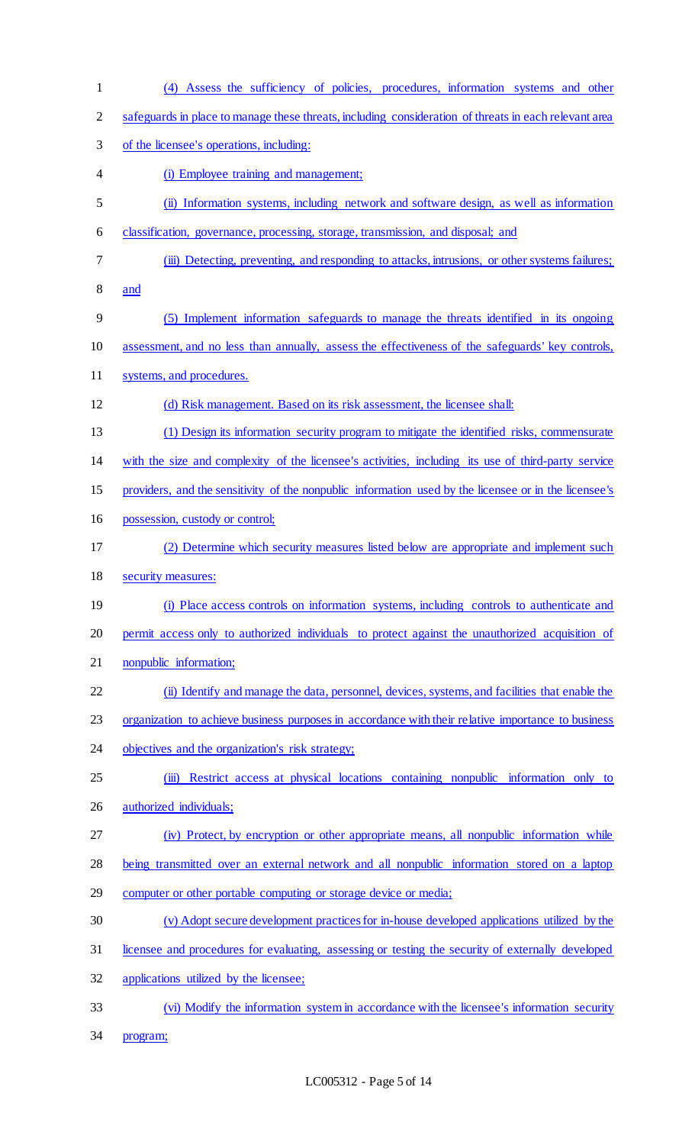- (4) Assess the sufficiency of policies, procedures, information systems and other safeguards in place to manage these threats, including consideration of threats in each relevant area of the licensee's operations, including: (i) Employee training and management; (ii) Information systems, including network and software design, as well as information classification, governance, processing, storage, transmission, and disposal; and (iii) Detecting, preventing, and responding to attacks, intrusions, or other systems failures; and (5) Implement information safeguards to manage the threats identified in its ongoing assessment, and no less than annually, assess the effectiveness of the safeguards' key controls, systems, and procedures. (d) Risk management. Based on its risk assessment, the licensee shall: (1) Design its information security program to mitigate the identified risks, commensurate with the size and complexity of the licensee's activities, including its use of third-party service providers, and the sensitivity of the nonpublic information used by the licensee or in the licensee's possession, custody or control; (2) Determine which security measures listed below are appropriate and implement such security measures: (i) Place access controls on information systems, including controls to authenticate and permit access only to authorized individuals to protect against the unauthorized acquisition of nonpublic information; (ii) Identify and manage the data, personnel, devices, systems, and facilities that enable the 23 organization to achieve business purposes in accordance with their relative importance to business 24 objectives and the organization's risk strategy; (iii) Restrict access at physical locations containing nonpublic information only to authorized individuals; (iv) Protect, by encryption or other appropriate means, all nonpublic information while being transmitted over an external network and all nonpublic information stored on a laptop computer or other portable computing or storage device or media; (v) Adopt secure development practices for in-house developed applications utilized by the licensee and procedures for evaluating, assessing or testing the security of externally developed applications utilized by the licensee; (vi) Modify the information system in accordance with the licensee's information security
- program;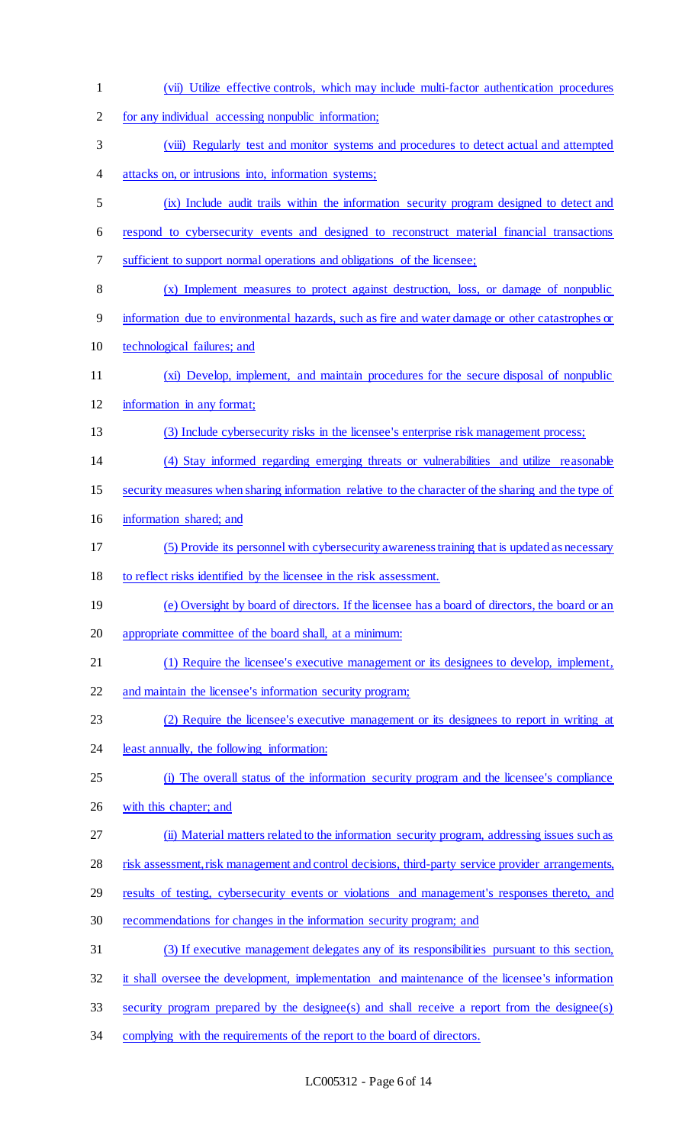| $\mathbf{1}$   | (vii) Utilize effective controls, which may include multi-factor authentication procedures          |
|----------------|-----------------------------------------------------------------------------------------------------|
| $\overline{2}$ | for any individual accessing nonpublic information;                                                 |
| 3              | (viii) Regularly test and monitor systems and procedures to detect actual and attempted             |
| 4              | attacks on, or intrusions into, information systems;                                                |
| 5              | (ix) Include audit trails within the information security program designed to detect and            |
| 6              | respond to cybersecurity events and designed to reconstruct material financial transactions         |
| 7              | sufficient to support normal operations and obligations of the licensee;                            |
| 8              | (x) Implement measures to protect against destruction, loss, or damage of nonpublic                 |
| 9              | information due to environmental hazards, such as fire and water damage or other catastrophes or    |
| 10             | technological failures; and                                                                         |
| 11             | (xi) Develop, implement, and maintain procedures for the secure disposal of nonpublic               |
| 12             | information in any format;                                                                          |
| 13             | (3) Include cybersecurity risks in the licensee's enterprise risk management process;               |
| 14             | (4) Stay informed regarding emerging threats or vulnerabilities and utilize reasonable              |
| 15             | security measures when sharing information relative to the character of the sharing and the type of |
| 16             | information shared; and                                                                             |
| 17             | (5) Provide its personnel with cybersecurity awareness training that is updated as necessary        |
| 18             | to reflect risks identified by the licensee in the risk assessment.                                 |
| 19             | (e) Oversight by board of directors. If the licensee has a board of directors, the board or an      |
| 20             | appropriate committee of the board shall, at a minimum:                                             |
| 21             | (1) Require the licensee's executive management or its designees to develop, implement,             |
| 22             | and maintain the licensee's information security program;                                           |
| 23             | (2) Require the licensee's executive management or its designees to report in writing at            |
| 24             | least annually, the following information:                                                          |
| 25             | (i) The overall status of the information security program and the licensee's compliance            |
| 26             |                                                                                                     |
| 27             | with this chapter; and                                                                              |
|                | (ii) Material matters related to the information security program, addressing issues such as        |
| 28             | risk assessment, risk management and control decisions, third-party service provider arrangements,  |
| 29             | results of testing, cybersecurity events or violations and management's responses thereto, and      |
| 30             | recommendations for changes in the information security program; and                                |
| 31             | (3) If executive management delegates any of its responsibilities pursuant to this section,         |
| 32             | it shall oversee the development, implementation and maintenance of the licensee's information      |
| 33             | security program prepared by the designee(s) and shall receive a report from the designee(s)        |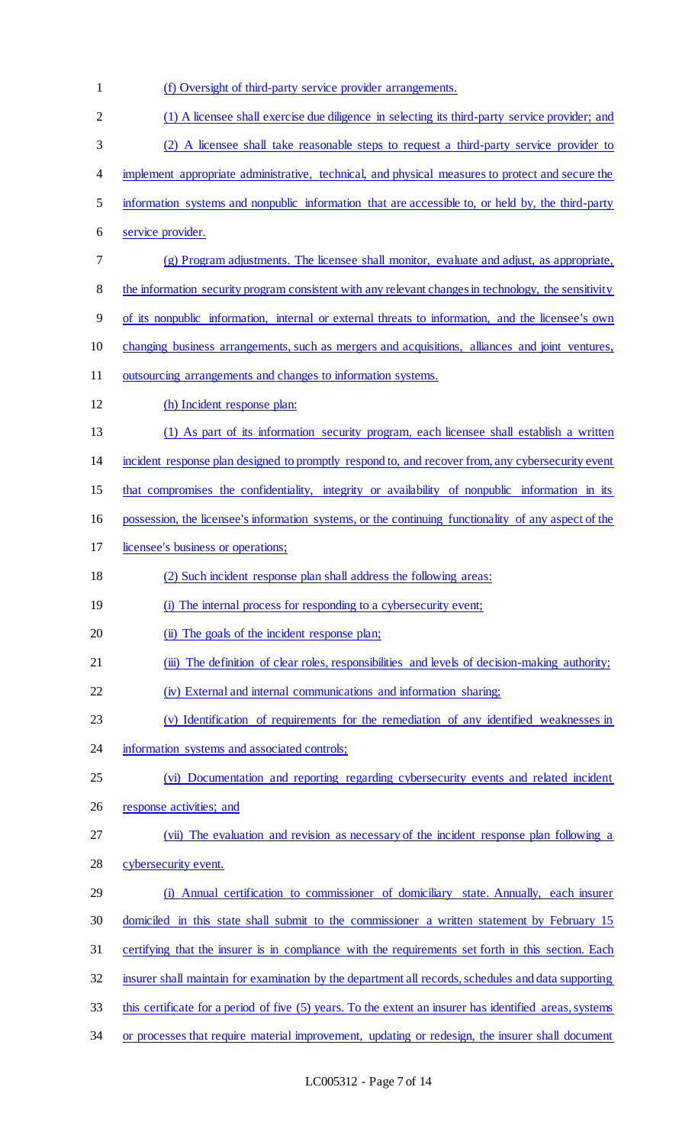(f) Oversight of third-party service provider arrangements. (1) A licensee shall exercise due diligence in selecting its third-party service provider; and (2) A licensee shall take reasonable steps to request a third-party service provider to implement appropriate administrative, technical, and physical measures to protect and secure the information systems and nonpublic information that are accessible to, or held by, the third-party service provider. (g) Program adjustments. The licensee shall monitor, evaluate and adjust, as appropriate, the information security program consistent with any relevant changes in technology, the sensitivity of its nonpublic information, internal or external threats to information, and the licensee's own 10 changing business arrangements, such as mergers and acquisitions, alliances and joint ventures, outsourcing arrangements and changes to information systems. (h) Incident response plan: (1) As part of its information security program, each licensee shall establish a written incident response plan designed to promptly respond to, and recover from, any cybersecurity event that compromises the confidentiality, integrity or availability of nonpublic information in its possession, the licensee's information systems, or the continuing functionality of any aspect of the licensee's business or operations; (2) Such incident response plan shall address the following areas: (i) The internal process for responding to a cybersecurity event; 20 (ii) The goals of the incident response plan; 21 (iii) The definition of clear roles, responsibilities and levels of decision-making authority; (iv) External and internal communications and information sharing; (v) Identification of requirements for the remediation of any identified weaknesses in 24 information systems and associated controls; (vi) Documentation and reporting regarding cybersecurity events and related incident 26 response activities; and (vii) The evaluation and revision as necessary of the incident response plan following a cybersecurity event. (i) Annual certification to commissioner of domiciliary state. Annually, each insurer domiciled in this state shall submit to the commissioner a written statement by February 15 certifying that the insurer is in compliance with the requirements set forth in this section. Each insurer shall maintain for examination by the department all records, schedules and data supporting this certificate for a period of five (5) years. To the extent an insurer has identified areas, systems 34 or processes that require material improvement, updating or redesign, the insurer shall document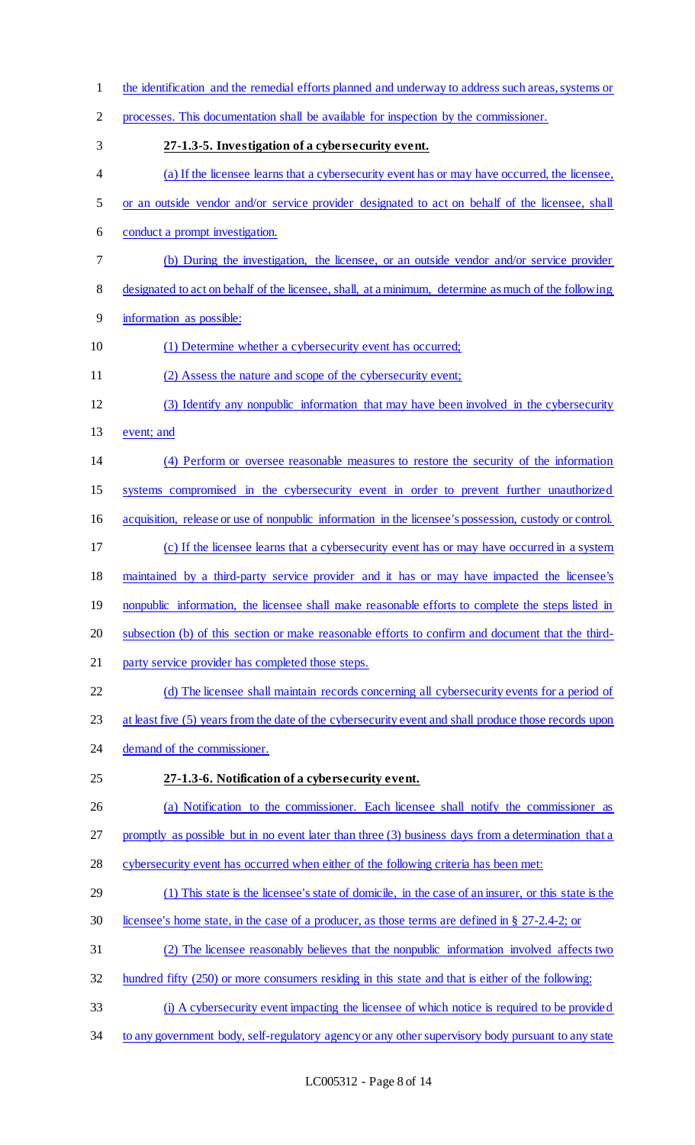| $\mathbf{1}$ | the identification and the remedial efforts planned and underway to address such areas, systems or     |
|--------------|--------------------------------------------------------------------------------------------------------|
| 2            | processes. This documentation shall be available for inspection by the commissioner.                   |
| 3            | 27-1.3-5. Investigation of a cybersecurity event.                                                      |
| 4            | (a) If the licensee learns that a cybersecurity event has or may have occurred, the licensee,          |
| 5            | or an outside vendor and/or service provider designated to act on behalf of the licensee, shall        |
| 6            | conduct a prompt investigation.                                                                        |
| 7            | (b) During the investigation, the licensee, or an outside vendor and/or service provider               |
| 8            | designated to act on behalf of the licensee, shall, at a minimum, determine as much of the following   |
| 9            | information as possible:                                                                               |
| 10           | (1) Determine whether a cybersecurity event has occurred;                                              |
| 11           | (2) Assess the nature and scope of the cybersecurity event;                                            |
| 12           | (3) Identify any nonpublic information that may have been involved in the cybersecurity                |
| 13           | event; and                                                                                             |
| 14           | (4) Perform or oversee reasonable measures to restore the security of the information                  |
| 15           | systems compromised in the cybersecurity event in order to prevent further unauthorized                |
| 16           | acquisition, release or use of nonpublic information in the licensee's possession, custody or control. |
| 17           | (c) If the licensee learns that a cybersecurity event has or may have occurred in a system             |
| 18           | maintained by a third-party service provider and it has or may have impacted the licensee's            |
| 19           | nonpublic information, the licensee shall make reasonable efforts to complete the steps listed in      |
| 20           | subsection (b) of this section or make reasonable efforts to confirm and document that the third-      |
| 21           | party service provider has completed those steps.                                                      |
| 22           | (d) The licensee shall maintain records concerning all cybersecurity events for a period of            |
| 23           | at least five (5) years from the date of the cybersecurity event and shall produce those records upon  |
| 24           | demand of the commissioner.                                                                            |
| 25           | 27-1.3-6. Notification of a cybersecurity event.                                                       |
| 26           | (a) Notification to the commissioner. Each licensee shall notify the commissioner as                   |
| 27           | promptly as possible but in no event later than three (3) business days from a determination that a    |
| 28           | cybersecurity event has occurred when either of the following criteria has been met:                   |
| 29           | (1) This state is the licensee's state of domicile, in the case of an insurer, or this state is the    |
| 30           | licensee's home state, in the case of a producer, as those terms are defined in § 27-2.4-2; or         |
| 31           | (2) The licensee reasonably believes that the nonpublic information involved affects two               |
| 32           | hundred fifty (250) or more consumers residing in this state and that is either of the following:      |
| 33           | (i) A cybersecurity event impacting the licensee of which notice is required to be provided            |
| 34           | to any government body, self-regulatory agency or any other supervisory body pursuant to any state     |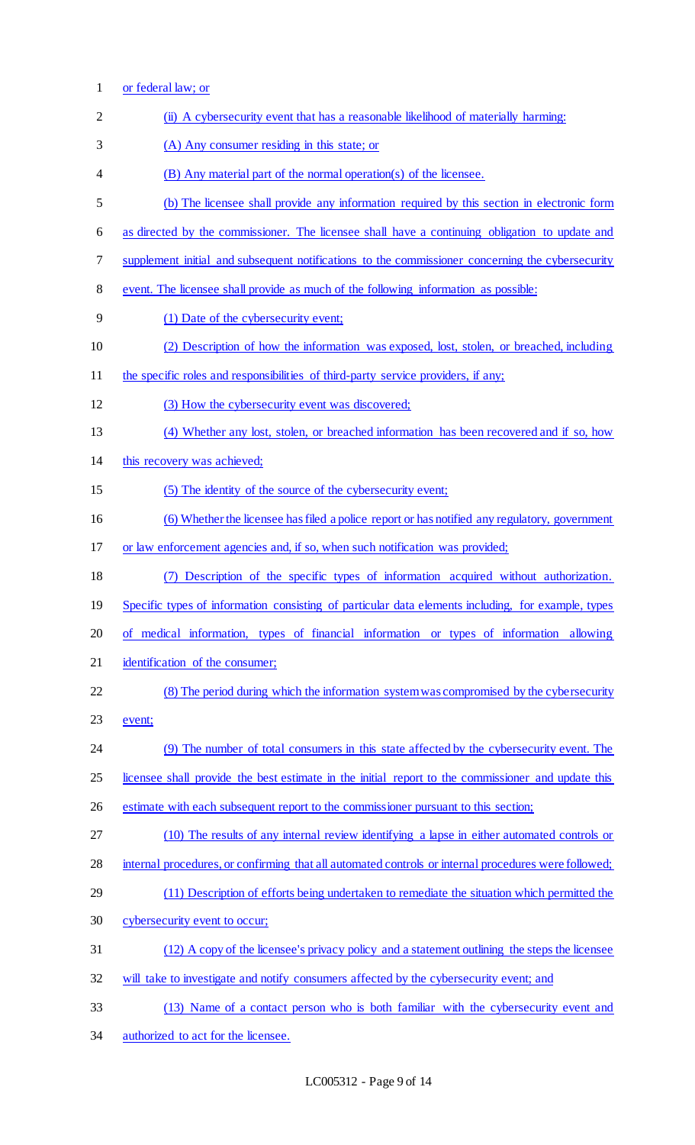or federal law; or 2 (ii) A cybersecurity event that has a reasonable likelihood of materially harming: (A) Any consumer residing in this state; or (B) Any material part of the normal operation(s) of the licensee. (b) The licensee shall provide any information required by this section in electronic form as directed by the commissioner. The licensee shall have a continuing obligation to update and supplement initial and subsequent notifications to the commissioner concerning the cybersecurity event. The licensee shall provide as much of the following information as possible: (1) Date of the cybersecurity event; (2) Description of how the information was exposed, lost, stolen, or breached, including 11 the specific roles and responsibilities of third-party service providers, if any; (3) How the cybersecurity event was discovered; (4) Whether any lost, stolen, or breached information has been recovered and if so, how this recovery was achieved; (5) The identity of the source of the cybersecurity event; (6) Whether the licensee has filed a police report or has notified any regulatory, government or law enforcement agencies and, if so, when such notification was provided; (7) Description of the specific types of information acquired without authorization. Specific types of information consisting of particular data elements including, for example, types of medical information, types of financial information or types of information allowing identification of the consumer; (8) The period during which the information system was compromised by the cybersecurity event; (9) The number of total consumers in this state affected by the cybersecurity event. The licensee shall provide the best estimate in the initial report to the commissioner and update this estimate with each subsequent report to the commissioner pursuant to this section; (10) The results of any internal review identifying a lapse in either automated controls or internal procedures, or confirming that all automated controls or internal procedures were followed; (11) Description of efforts being undertaken to remediate the situation which permitted the cybersecurity event to occur; (12) A copy of the licensee's privacy policy and a statement outlining the steps the licensee will take to investigate and notify consumers affected by the cybersecurity event; and (13) Name of a contact person who is both familiar with the cybersecurity event and authorized to act for the licensee.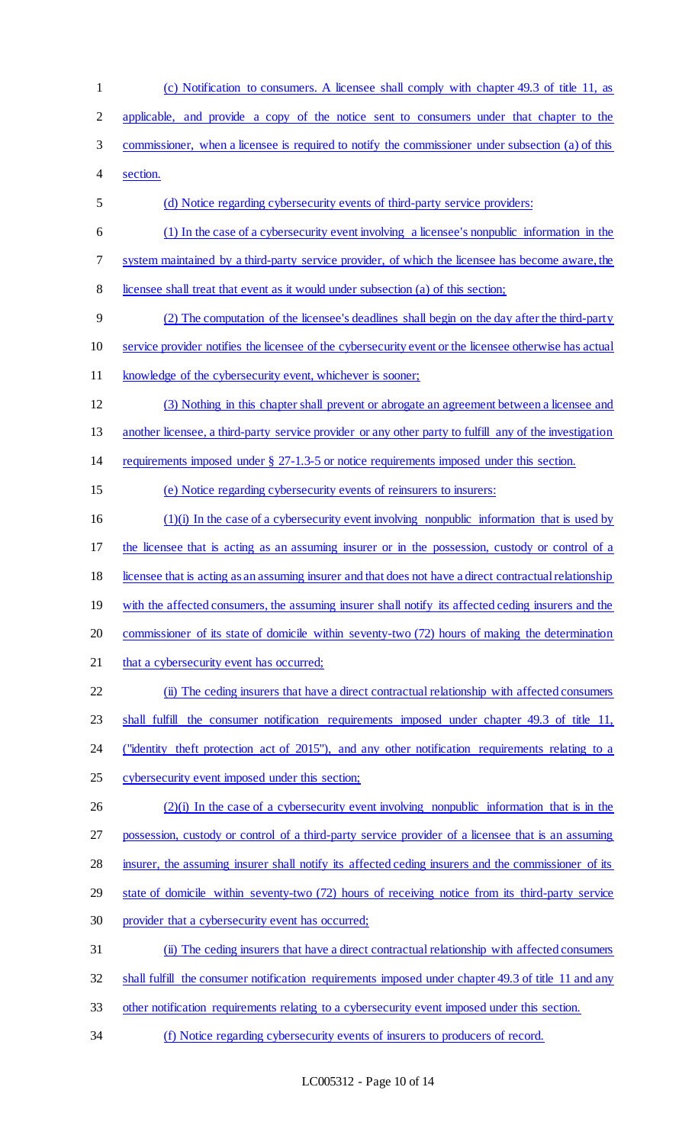(c) Notification to consumers. A licensee shall comply with chapter 49.3 of title 11, as applicable, and provide a copy of the notice sent to consumers under that chapter to the commissioner, when a licensee is required to notify the commissioner under subsection (a) of this section. (d) Notice regarding cybersecurity events of third-party service providers: (1) In the case of a cybersecurity event involving a licensee's nonpublic information in the system maintained by a third-party service provider, of which the licensee has become aware, the licensee shall treat that event as it would under subsection (a) of this section; (2) The computation of the licensee's deadlines shall begin on the day after the third-party service provider notifies the licensee of the cybersecurity event or the licensee otherwise has actual knowledge of the cybersecurity event, whichever is sooner; (3) Nothing in this chapter shall prevent or abrogate an agreement between a licensee and 13 another licensee, a third-party service provider or any other party to fulfill any of the investigation requirements imposed under § 27-1.3-5 or notice requirements imposed under this section. (e) Notice regarding cybersecurity events of reinsurers to insurers: (1)(i) In the case of a cybersecurity event involving nonpublic information that is used by 17 the licensee that is acting as an assuming insurer or in the possession, custody or control of a licensee that is acting as an assuming insurer and that does not have a direct contractual relationship 19 with the affected consumers, the assuming insurer shall notify its affected ceding insurers and the commissioner of its state of domicile within seventy-two (72) hours of making the determination 21 that a cybersecurity event has occurred; (ii) The ceding insurers that have a direct contractual relationship with affected consumers shall fulfill the consumer notification requirements imposed under chapter 49.3 of title 11, 24 ("identity theft protection act of 2015"), and any other notification requirements relating to a cybersecurity event imposed under this section; (2)(i) In the case of a cybersecurity event involving nonpublic information that is in the possession, custody or control of a third-party service provider of a licensee that is an assuming 28 insurer, the assuming insurer shall notify its affected ceding insurers and the commissioner of its state of domicile within seventy-two (72) hours of receiving notice from its third-party service provider that a cybersecurity event has occurred; (ii) The ceding insurers that have a direct contractual relationship with affected consumers shall fulfill the consumer notification requirements imposed under chapter 49.3 of title 11 and any other notification requirements relating to a cybersecurity event imposed under this section. (f) Notice regarding cybersecurity events of insurers to producers of record.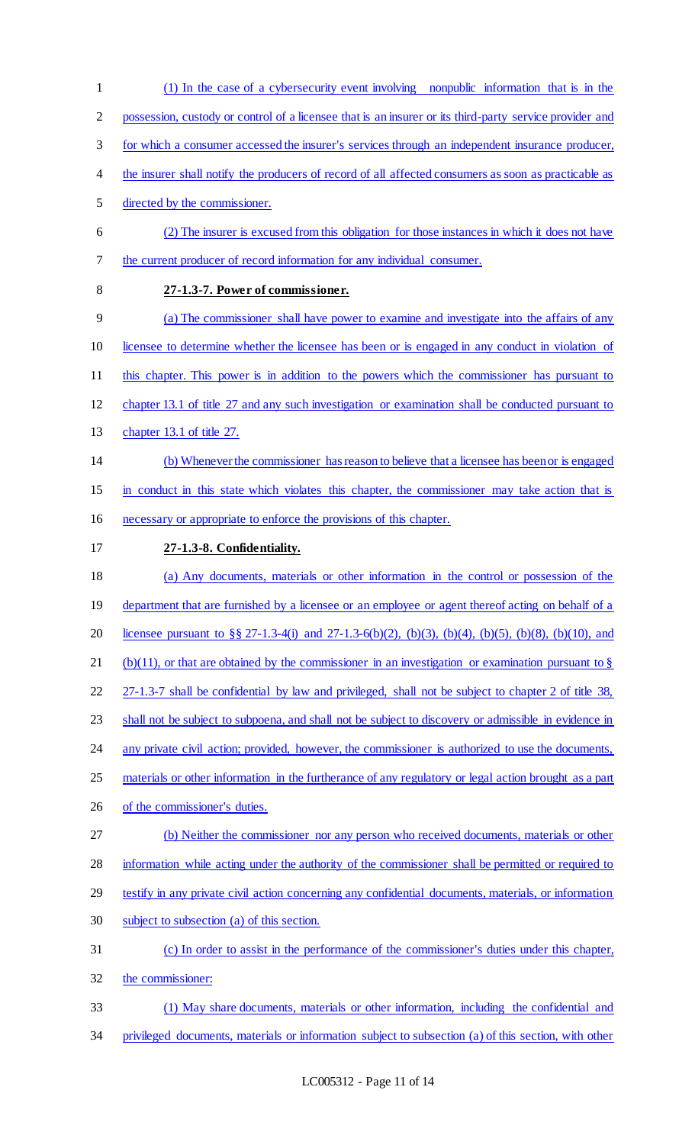(1) In the case of a cybersecurity event involving nonpublic information that is in the possession, custody or control of a licensee that is an insurer or its third-party service provider and for which a consumer accessed the insurer's services through an independent insurance producer, the insurer shall notify the producers of record of all affected consumers as soon as practicable as directed by the commissioner. (2) The insurer is excused from this obligation for those instances in which it does not have the current producer of record information for any individual consumer. **27-1.3-7. Power of commissioner.** (a) The commissioner shall have power to examine and investigate into the affairs of any licensee to determine whether the licensee has been or is engaged in any conduct in violation of this chapter. This power is in addition to the powers which the commissioner has pursuant to chapter 13.1 of title 27 and any such investigation or examination shall be conducted pursuant to chapter 13.1 of title 27. (b) Whenever the commissioner has reason to believe that a licensee has been or is engaged in conduct in this state which violates this chapter, the commissioner may take action that is necessary or appropriate to enforce the provisions of this chapter. **27-1.3-8. Confidentiality.** (a) Any documents, materials or other information in the control or possession of the 19 department that are furnished by a licensee or an employee or agent thereof acting on behalf of a licensee pursuant to §§ 27-1.3-4(i) and 27-1.3-6(b)(2), (b)(3), (b)(4), (b)(5), (b)(8), (b)(10), and 21 (b)(11), or that are obtained by the commissioner in an investigation or examination pursuant to  $\S$  27-1.3-7 shall be confidential by law and privileged, shall not be subject to chapter 2 of title 38, 23 shall not be subject to subpoena, and shall not be subject to discovery or admissible in evidence in 24 any private civil action; provided, however, the commissioner is authorized to use the documents, materials or other information in the furtherance of any regulatory or legal action brought as a part of the commissioner's duties. (b) Neither the commissioner nor any person who received documents, materials or other information while acting under the authority of the commissioner shall be permitted or required to testify in any private civil action concerning any confidential documents, materials, or information subject to subsection (a) of this section. (c) In order to assist in the performance of the commissioner's duties under this chapter, the commissioner: (1) May share documents, materials or other information, including the confidential and privileged documents, materials or information subject to subsection (a) of this section, with other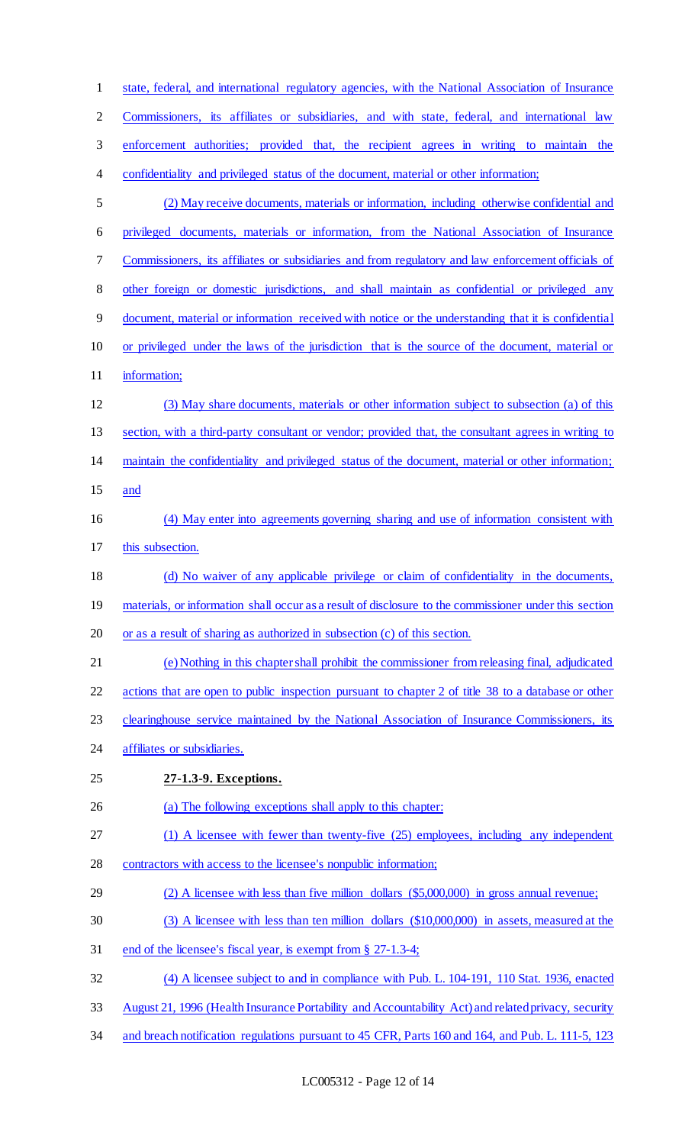| $\mathbf{1}$   | state, federal, and international regulatory agencies, with the National Association of Insurance      |
|----------------|--------------------------------------------------------------------------------------------------------|
| $\overline{2}$ | Commissioners, its affiliates or subsidiaries, and with state, federal, and international law          |
| 3              | enforcement authorities; provided that, the recipient agrees in writing to maintain the                |
| 4              | confidentiality and privileged status of the document, material or other information;                  |
| 5              | (2) May receive documents, materials or information, including otherwise confidential and              |
| 6              | privileged documents, materials or information, from the National Association of Insurance             |
| 7              | Commissioners, its affiliates or subsidiaries and from regulatory and law enforcement officials of     |
| $8\,$          | other foreign or domestic jurisdictions, and shall maintain as confidential or privileged any          |
| $\overline{9}$ | document, material or information received with notice or the understanding that it is confidential    |
| 10             | or privileged under the laws of the jurisdiction that is the source of the document, material or       |
| 11             | information;                                                                                           |
| 12             | (3) May share documents, materials or other information subject to subsection (a) of this              |
| 13             | section, with a third-party consultant or vendor; provided that, the consultant agrees in writing to   |
| 14             | maintain the confidentiality and privileged status of the document, material or other information;     |
| 15             | and                                                                                                    |
| 16             | (4) May enter into agreements governing sharing and use of information consistent with                 |
| 17             | this subsection.                                                                                       |
| 18             | (d) No waiver of any applicable privilege or claim of confidentiality in the documents,                |
| 19             | materials, or information shall occur as a result of disclosure to the commissioner under this section |
| 20             | or as a result of sharing as authorized in subsection (c) of this section.                             |
| 21             | (e) Nothing in this chapter shall prohibit the commissioner from releasing final, adjudicated          |
| 22             | actions that are open to public inspection pursuant to chapter 2 of title 38 to a database or other    |
| 23             | clearinghouse service maintained by the National Association of Insurance Commissioners, its           |
| 24             | affiliates or subsidiaries.                                                                            |
| 25             | 27-1.3-9. Exceptions.                                                                                  |
| 26             | (a) The following exceptions shall apply to this chapter:                                              |
| 27             | (1) A licensee with fewer than twenty-five (25) employees, including any independent                   |
| 28             | contractors with access to the licensee's nonpublic information;                                       |
| 29             | $(2)$ A licensee with less than five million dollars $(\$5,000,000)$ in gross annual revenue;          |
| 30             | (3) A licensee with less than ten million dollars (\$10,000,000) in assets, measured at the            |
| 31             | end of the licensee's fiscal year, is exempt from § 27-1.3-4;                                          |
| 32             | (4) A licensee subject to and in compliance with Pub. L. 104-191, 110 Stat. 1936, enacted              |
| 33             | August 21, 1996 (Health Insurance Portability and Accountability Act) and related privacy, security    |
| 34             | and breach notification regulations pursuant to 45 CFR, Parts 160 and 164, and Pub. L. 111-5, 123      |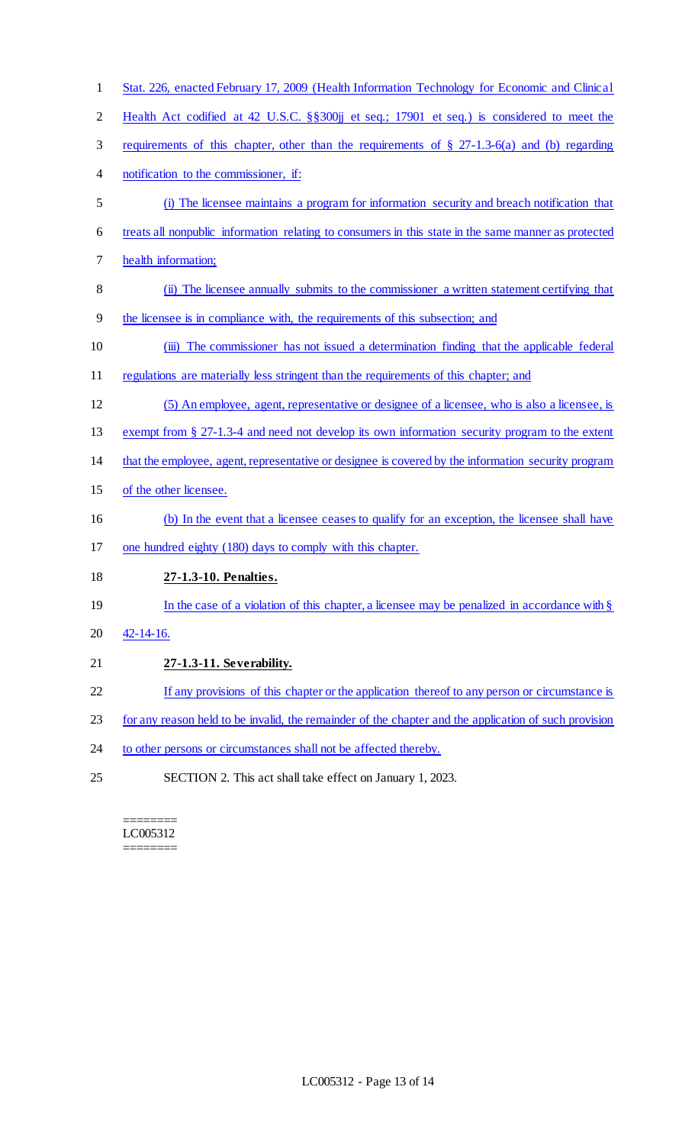| $\mathbf{1}$   | Stat. 226, enacted February 17, 2009 (Health Information Technology for Economic and Clinical         |
|----------------|-------------------------------------------------------------------------------------------------------|
| $\overline{2}$ | Health Act codified at 42 U.S.C. §§300jj et seq.; 17901 et seq.) is considered to meet the            |
| 3              | requirements of this chapter, other than the requirements of $\S$ 27-1.3-6(a) and (b) regarding       |
| 4              | notification to the commissioner, if:                                                                 |
| 5              | (i) The licensee maintains a program for information security and breach notification that            |
| 6              | treats all nonpublic information relating to consumers in this state in the same manner as protected  |
| 7              | health information;                                                                                   |
| $\,8\,$        | (ii) The licensee annually submits to the commissioner a written statement certifying that            |
| $\overline{9}$ | the licensee is in compliance with, the requirements of this subsection; and                          |
| 10             | (iii) The commissioner has not issued a determination finding that the applicable federal             |
| 11             | regulations are materially less stringent than the requirements of this chapter; and                  |
| 12             | (5) An employee, agent, representative or designee of a licensee, who is also a licensee, is          |
| 13             | exempt from § 27-1.3-4 and need not develop its own information security program to the extent        |
| 14             | that the employee, agent, representative or designee is covered by the information security program   |
| 15             | of the other licensee.                                                                                |
| 16             | (b) In the event that a licensee ceases to qualify for an exception, the licensee shall have          |
| 17             | one hundred eighty (180) days to comply with this chapter.                                            |
| 18             | 27-1.3-10. Penalties.                                                                                 |
| 19             | In the case of a violation of this chapter, a licensee may be penalized in accordance with $\S$       |
| 20             | $42 - 14 - 16.$                                                                                       |
| 21             | 27-1.3-11. Severability.                                                                              |
| 22             | If any provisions of this chapter or the application thereof to any person or circumstance is         |
| 23             | for any reason held to be invalid, the remainder of the chapter and the application of such provision |
| 24             | to other persons or circumstances shall not be affected thereby.                                      |
| 25             | SECTION 2. This act shall take effect on January 1, 2023.                                             |

======== LC005312 ========